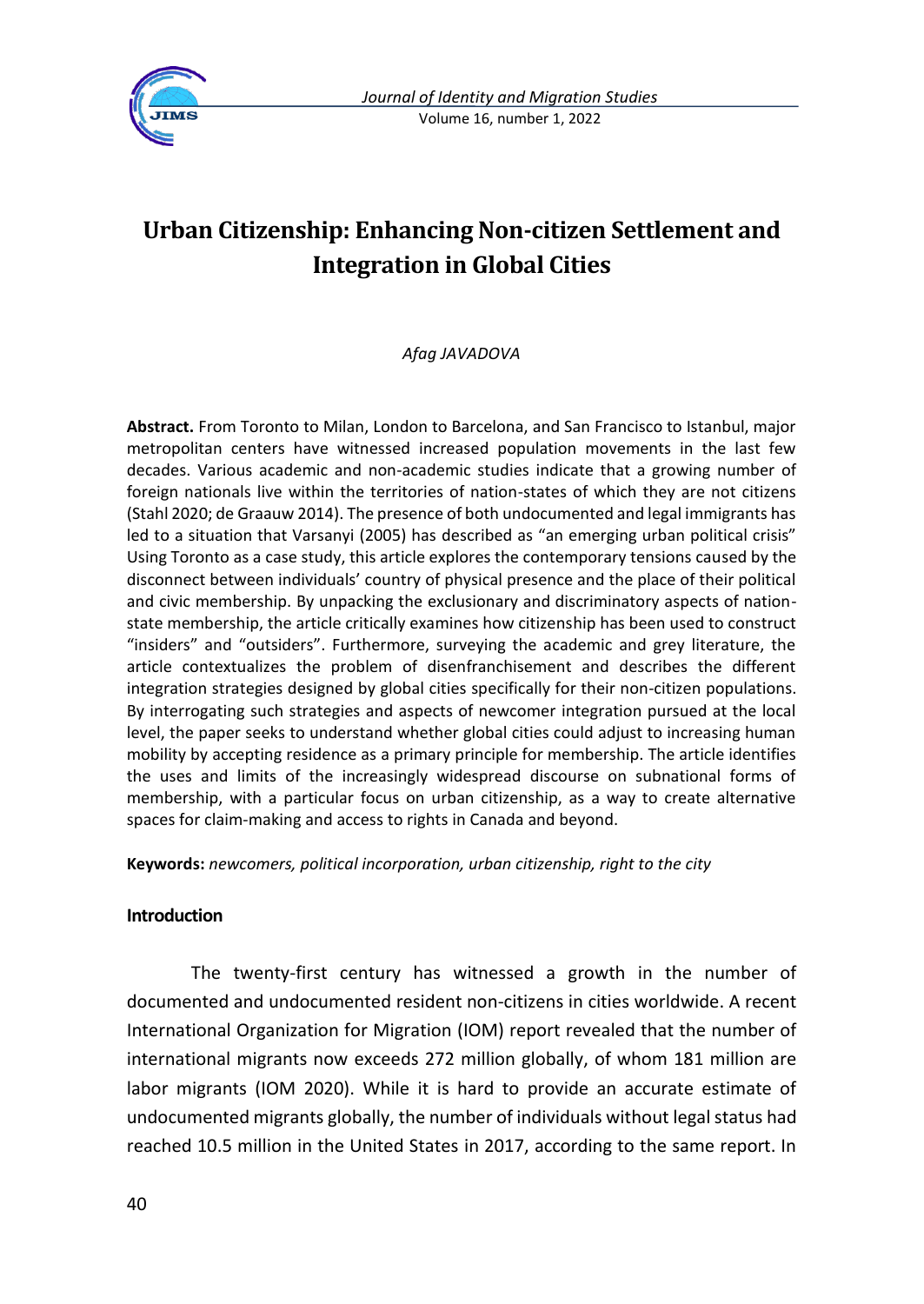

# **Urban Citizenship: Enhancing Non-citizen Settlement and Integration in Global Cities**

### *Afag JAVADOVA*

**Abstract.** From Toronto to Milan, London to Barcelona, and San Francisco to Istanbul, major metropolitan centers have witnessed increased population movements in the last few decades. Various academic and non-academic studies indicate that a growing number of foreign nationals live within the territories of nation-states of which they are not citizens (Stahl 2020; de Graauw 2014). The presence of both undocumented and legal immigrants has led to a situation that Varsanyi (2005) has described as "an emerging urban political crisis" Using Toronto as a case study, this article explores the contemporary tensions caused by the disconnect between individuals' country of physical presence and the place of their political and civic membership. By unpacking the exclusionary and discriminatory aspects of nationstate membership, the article critically examines how citizenship has been used to construct "insiders" and "outsiders". Furthermore, surveying the academic and grey literature, the article contextualizes the problem of disenfranchisement and describes the different integration strategies designed by global cities specifically for their non-citizen populations. By interrogating such strategies and aspects of newcomer integration pursued at the local level, the paper seeks to understand whether global cities could adjust to increasing human mobility by accepting residence as a primary principle for membership. The article identifies the uses and limits of the increasingly widespread discourse on subnational forms of membership, with a particular focus on urban citizenship, as a way to create alternative spaces for claim-making and access to rights in Canada and beyond.

**Keywords:** *newcomers, political incorporation, urban citizenship, right to the city*

### **Introduction**

The twenty-first century has witnessed a growth in the number of documented and undocumented resident non-citizens in cities worldwide. A recent International Organization for Migration (IOM) report revealed that the number of international migrants now exceeds 272 million globally, of whom 181 million are labor migrants (IOM 2020). While it is hard to provide an accurate estimate of undocumented migrants globally, the number of individuals without legal status had reached 10.5 million in the United States in 2017, according to the same report. In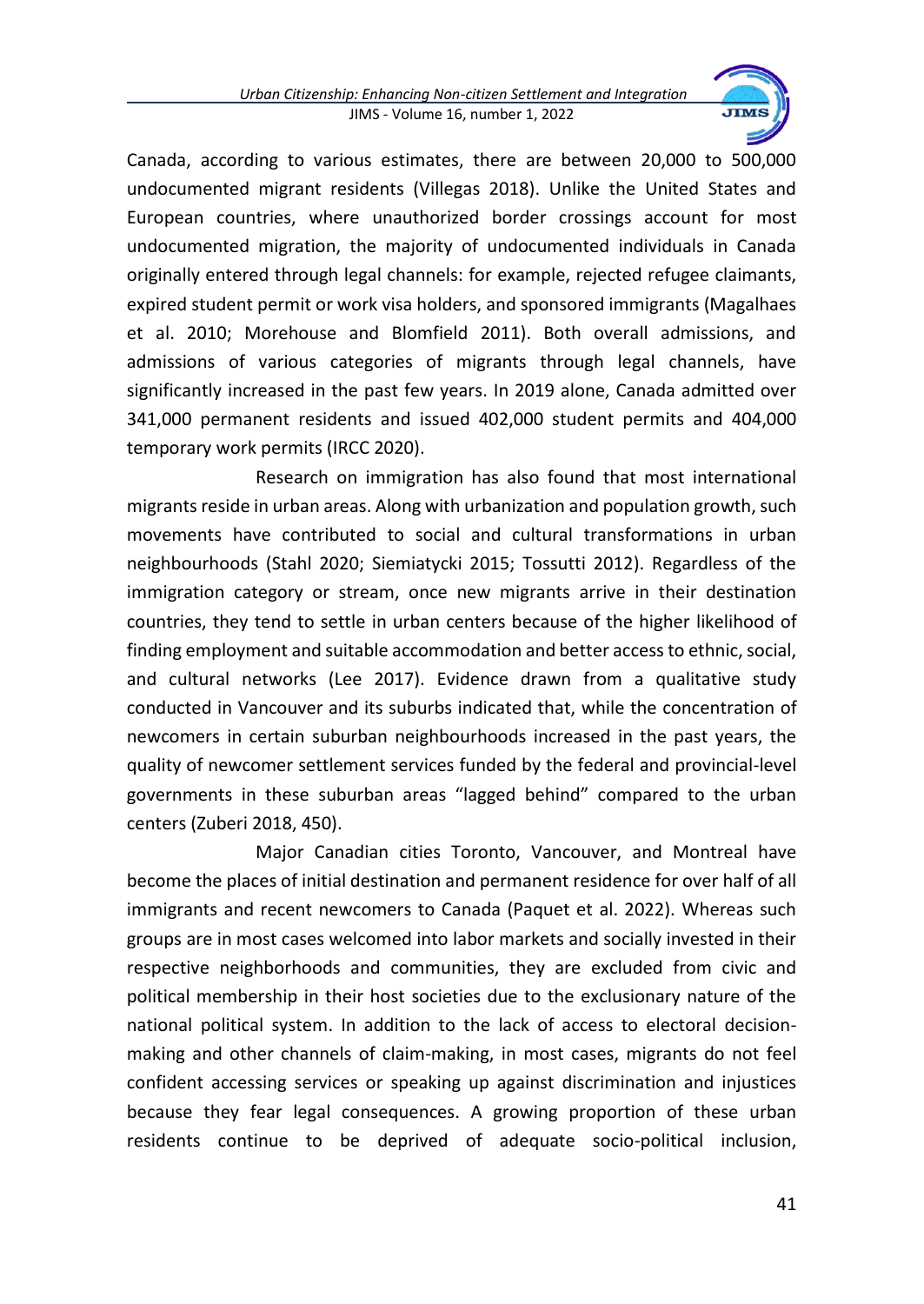

Canada, according to various estimates, there are between 20,000 to 500,000 undocumented migrant residents (Villegas 2018). Unlike the United States and European countries, where unauthorized border crossings account for most undocumented migration, the majority of undocumented individuals in Canada originally entered through legal channels: for example, rejected refugee claimants, expired student permit or work visa holders, and sponsored immigrants (Magalhaes et al. 2010; Morehouse and Blomfield 2011). Both overall admissions, and admissions of various categories of migrants through legal channels, have significantly increased in the past few years. In 2019 alone, Canada admitted over 341,000 permanent residents and issued 402,000 student permits and 404,000 temporary work permits (IRCC 2020).

Research on immigration has also found that most international migrants reside in urban areas. Along with urbanization and population growth, such movements have contributed to social and cultural transformations in urban neighbourhoods (Stahl 2020; Siemiatycki 2015; Tossutti 2012). Regardless of the immigration category or stream, once new migrants arrive in their destination countries, they tend to settle in urban centers because of the higher likelihood of finding employment and suitable accommodation and better access to ethnic, social, and cultural networks (Lee 2017). Evidence drawn from a qualitative study conducted in Vancouver and its suburbs indicated that, while the concentration of newcomers in certain suburban neighbourhoods increased in the past years, the quality of newcomer settlement services funded by the federal and provincial-level governments in these suburban areas "lagged behind" compared to the urban centers (Zuberi 2018, 450).

Major Canadian cities Toronto, Vancouver, and Montreal have become the places of initial destination and permanent residence for over half of all immigrants and recent newcomers to Canada (Paquet et al. 2022). Whereas such groups are in most cases welcomed into labor markets and socially invested in their respective neighborhoods and communities, they are excluded from civic and political membership in their host societies due to the exclusionary nature of the national political system. In addition to the lack of access to electoral decisionmaking and other channels of claim-making, in most cases, migrants do not feel confident accessing services or speaking up against discrimination and injustices because they fear legal consequences. A growing proportion of these urban residents continue to be deprived of adequate socio-political inclusion,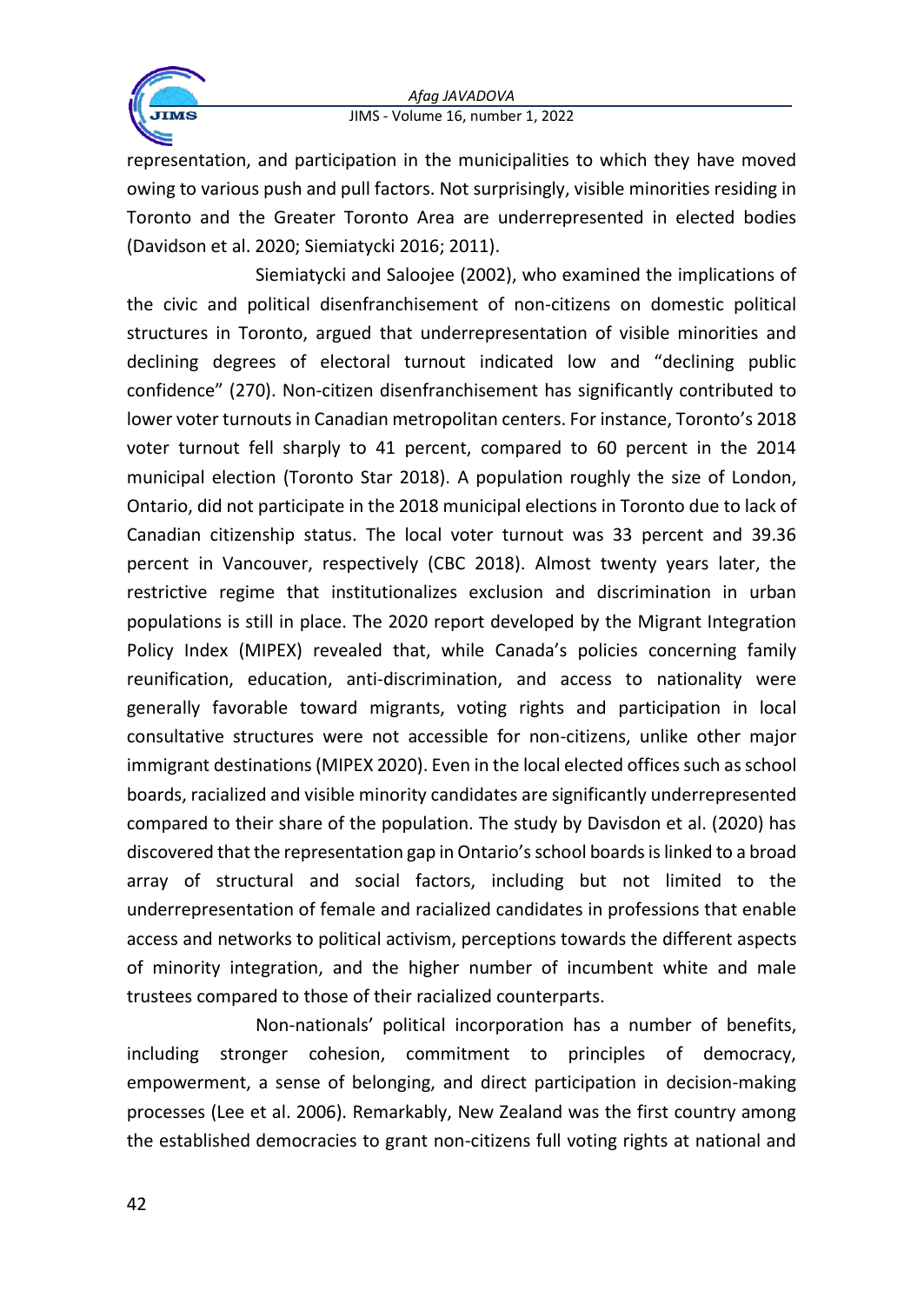

representation, and participation in the municipalities to which they have moved owing to various push and pull factors. Not surprisingly, visible minorities residing in Toronto and the Greater Toronto Area are underrepresented in elected bodies (Davidson et al. 2020; Siemiatycki 2016; 2011).

Siemiatycki and Saloojee (2002), who examined the implications of the civic and political disenfranchisement of non-citizens on domestic political structures in Toronto, argued that underrepresentation of visible minorities and declining degrees of electoral turnout indicated low and "declining public confidence" (270). Non-citizen disenfranchisement has significantly contributed to lower voter turnouts in Canadian metropolitan centers. For instance, Toronto's 2018 voter turnout fell sharply to 41 percent, compared to 60 percent in the 2014 municipal election (Toronto Star 2018). A population roughly the size of London, Ontario, did not participate in the 2018 municipal elections in Toronto due to lack of Canadian citizenship status. The local voter turnout was 33 percent and 39.36 percent in Vancouver, respectively (CBC 2018). Almost twenty years later, the restrictive regime that institutionalizes exclusion and discrimination in urban populations is still in place. The 2020 report developed by the Migrant Integration Policy Index (MIPEX) revealed that, while Canada's policies concerning family reunification, education, anti-discrimination, and access to nationality were generally favorable toward migrants, voting rights and participation in local consultative structures were not accessible for non-citizens, unlike other major immigrant destinations (MIPEX 2020). Even in the local elected offices such as school boards, racialized and visible minority candidates are significantly underrepresented compared to their share of the population. The study by Davisdon et al. (2020) has discovered that the representation gap in Ontario's school boards is linked to a broad array of structural and social factors, including but not limited to the underrepresentation of female and racialized candidates in professions that enable access and networks to political activism, perceptions towards the different aspects of minority integration, and the higher number of incumbent white and male trustees compared to those of their racialized counterparts.

Non-nationals' political incorporation has a number of benefits, including stronger cohesion, commitment to principles of democracy, empowerment, a sense of belonging, and direct participation in decision-making processes (Lee et al. 2006). Remarkably, New Zealand was the first country among the established democracies to grant non-citizens full voting rights at national and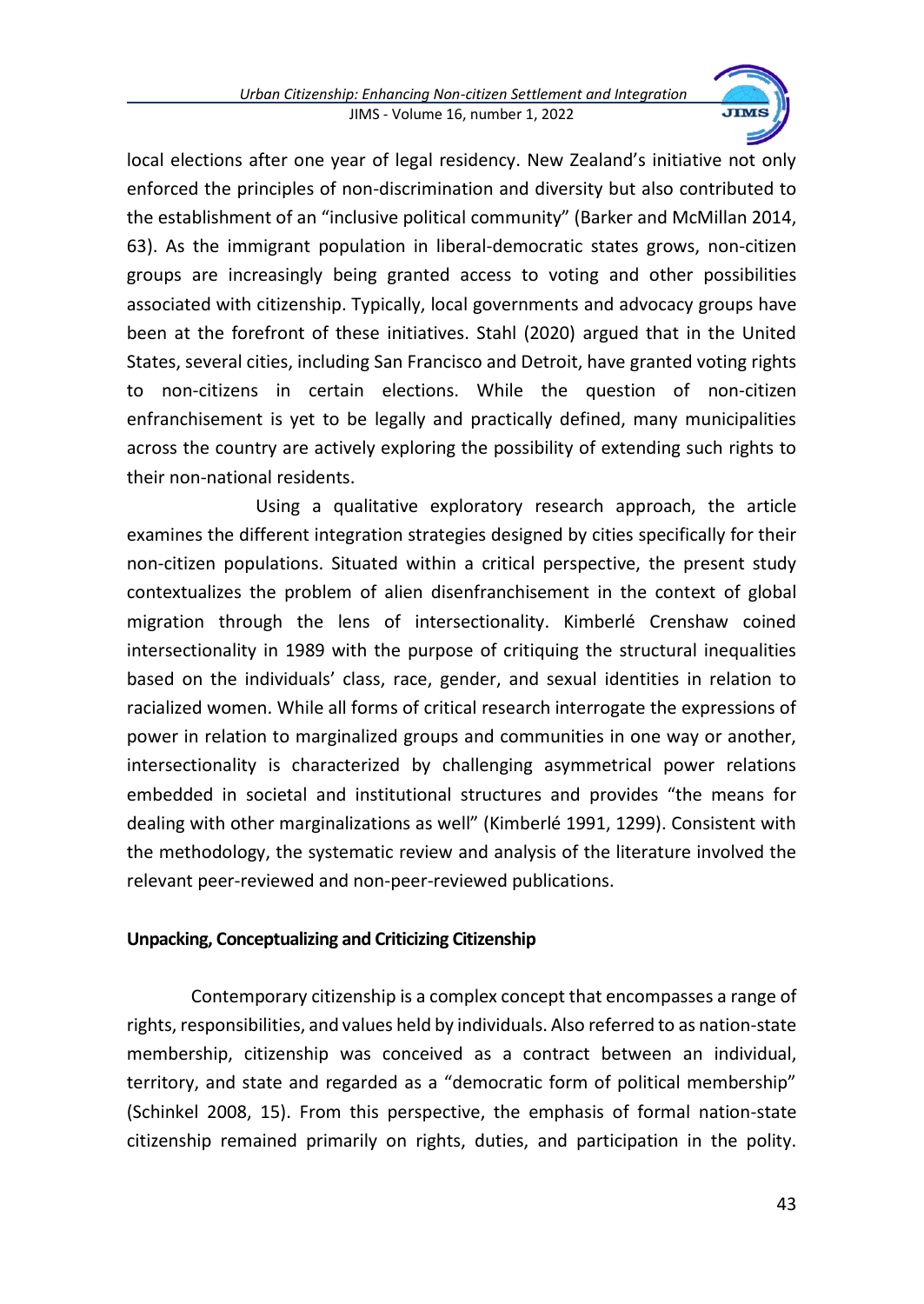

local elections after one year of legal residency. New Zealand's initiative not only enforced the principles of non-discrimination and diversity but also contributed to the establishment of an "inclusive political community" (Barker and McMillan 2014, 63). As the immigrant population in liberal-democratic states grows, non-citizen groups are increasingly being granted access to voting and other possibilities associated with citizenship. Typically, local governments and advocacy groups have been at the forefront of these initiatives. Stahl (2020) argued that in the United States, several cities, including San Francisco and Detroit, have granted voting rights to non-citizens in certain elections. While the question of non-citizen enfranchisement is yet to be legally and practically defined, many municipalities across the country are actively exploring the possibility of extending such rights to their non-national residents.

Using a qualitative exploratory research approach, the article examines the different integration strategies designed by cities specifically for their non-citizen populations. Situated within a critical perspective, the present study contextualizes the problem of alien disenfranchisement in the context of global migration through the lens of intersectionality. Kimberlé Crenshaw coined intersectionality in 1989 with the purpose of critiquing the structural inequalities based on the individuals' class, race, gender, and sexual identities in relation to racialized women. While all forms of critical research interrogate the expressions of power in relation to marginalized groups and communities in one way or another, intersectionality is characterized by challenging asymmetrical power relations embedded in societal and institutional structures and provides "the means for dealing with other marginalizations as well" (Kimberlé 1991, 1299). Consistent with the methodology, the systematic review and analysis of the literature involved the relevant peer-reviewed and non-peer-reviewed publications.

## **Unpacking, Conceptualizing and Criticizing Citizenship**

Contemporary citizenship is a complex concept that encompasses a range of rights, responsibilities, and values held by individuals. Also referred to as nation-state membership, citizenship was conceived as a contract between an individual, territory, and state and regarded as a "democratic form of political membership" (Schinkel 2008, 15). From this perspective, the emphasis of formal nation-state citizenship remained primarily on rights, duties, and participation in the polity.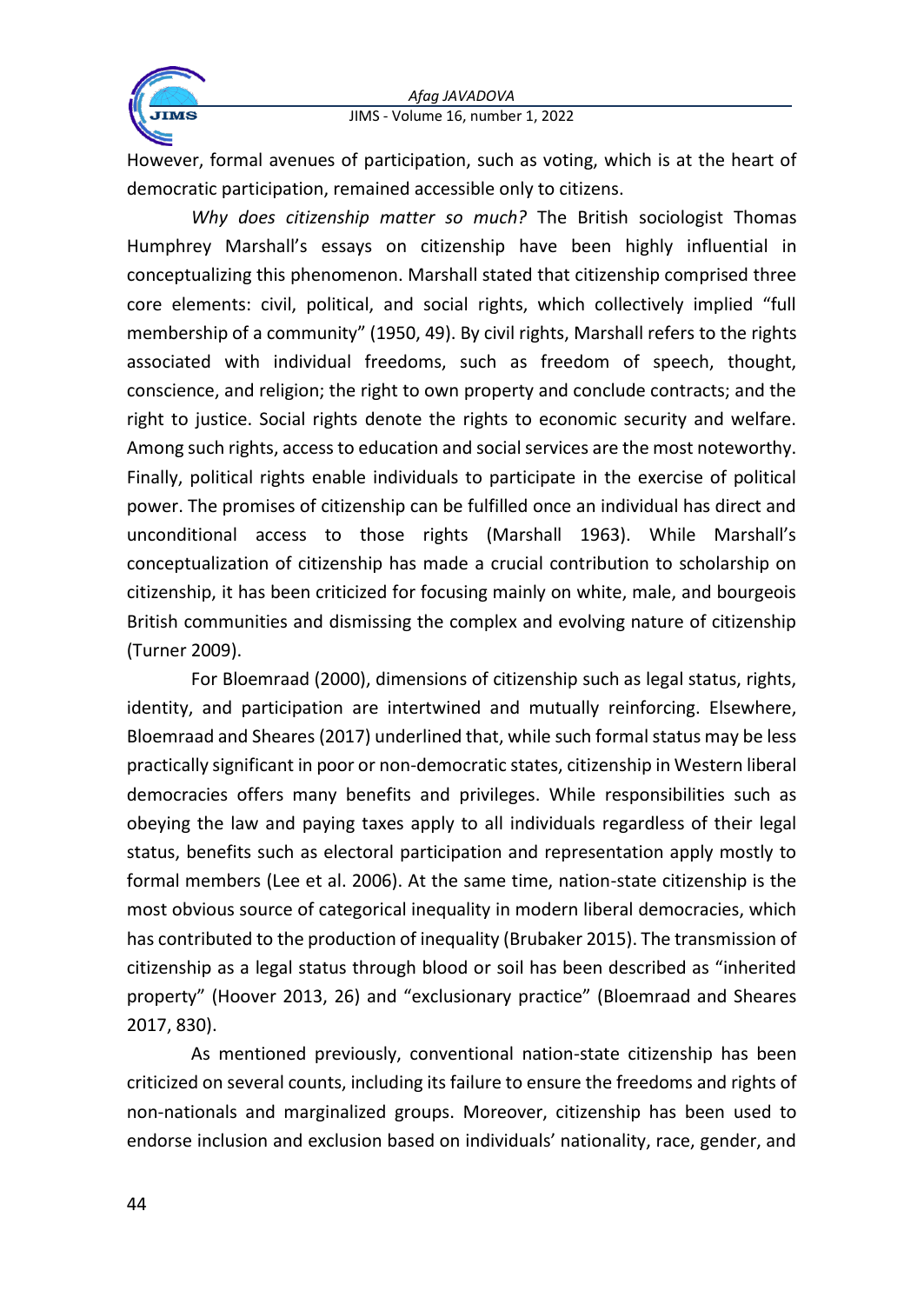



However, formal avenues of participation, such as voting, which is at the heart of democratic participation, remained accessible only to citizens.

*Why does citizenship matter so much?* The British sociologist Thomas Humphrey Marshall's essays on citizenship have been highly influential in conceptualizing this phenomenon. Marshall stated that citizenship comprised three core elements: civil, political, and social rights, which collectively implied "full membership of a community" (1950, 49). By civil rights, Marshall refers to the rights associated with individual freedoms, such as freedom of speech, thought, conscience, and religion; the right to own property and conclude contracts; and the right to justice. Social rights denote the rights to economic security and welfare. Among such rights, access to education and social services are the most noteworthy. Finally, political rights enable individuals to participate in the exercise of political power. The promises of citizenship can be fulfilled once an individual has direct and unconditional access to those rights (Marshall 1963). While Marshall's conceptualization of citizenship has made a crucial contribution to scholarship on citizenship, it has been criticized for focusing mainly on white, male, and bourgeois British communities and dismissing the complex and evolving nature of citizenship (Turner 2009).

For Bloemraad (2000), dimensions of citizenship such as legal status, rights, identity, and participation are intertwined and mutually reinforcing. Elsewhere, Bloemraad and Sheares (2017) underlined that, while such formal status may be less practically significant in poor or non-democratic states, citizenship in Western liberal democracies offers many benefits and privileges. While responsibilities such as obeying the law and paying taxes apply to all individuals regardless of their legal status, benefits such as electoral participation and representation apply mostly to formal members (Lee et al. 2006). At the same time, nation-state citizenship is the most obvious source of categorical inequality in modern liberal democracies, which has contributed to the production of inequality (Brubaker 2015). The transmission of citizenship as a legal status through blood or soil has been described as "inherited property" (Hoover 2013, 26) and "exclusionary practice" (Bloemraad and Sheares 2017, 830).

As mentioned previously, conventional nation-state citizenship has been criticized on several counts, including its failure to ensure the freedoms and rights of non-nationals and marginalized groups. Moreover, citizenship has been used to endorse inclusion and exclusion based on individuals' nationality, race, gender, and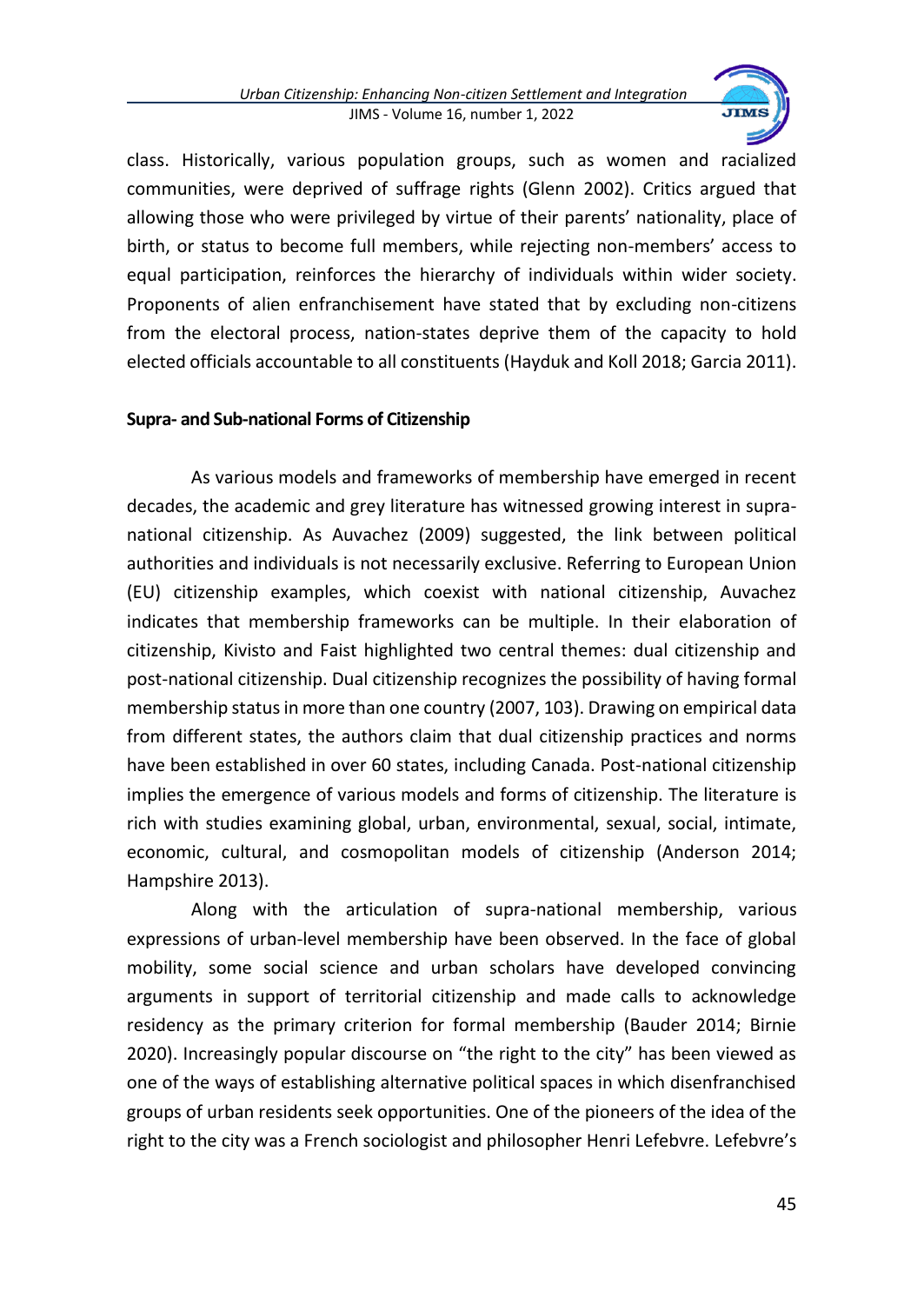

class. Historically, various population groups, such as women and racialized communities, were deprived of suffrage rights (Glenn 2002). Critics argued that allowing those who were privileged by virtue of their parents' nationality, place of birth, or status to become full members, while rejecting non-members' access to equal participation, reinforces the hierarchy of individuals within wider society. Proponents of alien enfranchisement have stated that by excluding non-citizens from the electoral process, nation-states deprive them of the capacity to hold elected officials accountable to all constituents (Hayduk and Koll 2018; Garcia 2011).

### **Supra- and Sub-national Forms of Citizenship**

As various models and frameworks of membership have emerged in recent decades, the academic and grey literature has witnessed growing interest in supranational citizenship. As Auvachez (2009) suggested, the link between political authorities and individuals is not necessarily exclusive. Referring to European Union (EU) citizenship examples, which coexist with national citizenship, Auvachez indicates that membership frameworks can be multiple. In their elaboration of citizenship, Kivisto and Faist highlighted two central themes: dual citizenship and post-national citizenship. Dual citizenship recognizes the possibility of having formal membership status in more than one country (2007, 103). Drawing on empirical data from different states, the authors claim that dual citizenship practices and norms have been established in over 60 states, including Canada. Post-national citizenship implies the emergence of various models and forms of citizenship. The literature is rich with studies examining global, urban, environmental, sexual, social, intimate, economic, cultural, and cosmopolitan models of citizenship (Anderson 2014; Hampshire 2013).

Along with the articulation of supra-national membership, various expressions of urban-level membership have been observed. In the face of global mobility, some social science and urban scholars have developed convincing arguments in support of territorial citizenship and made calls to acknowledge residency as the primary criterion for formal membership (Bauder 2014; Birnie 2020). Increasingly popular discourse on "the right to the city" has been viewed as one of the ways of establishing alternative political spaces in which disenfranchised groups of urban residents seek opportunities. One of the pioneers of the idea of the right to the city was a French sociologist and philosopher Henri Lefebvre. Lefebvre's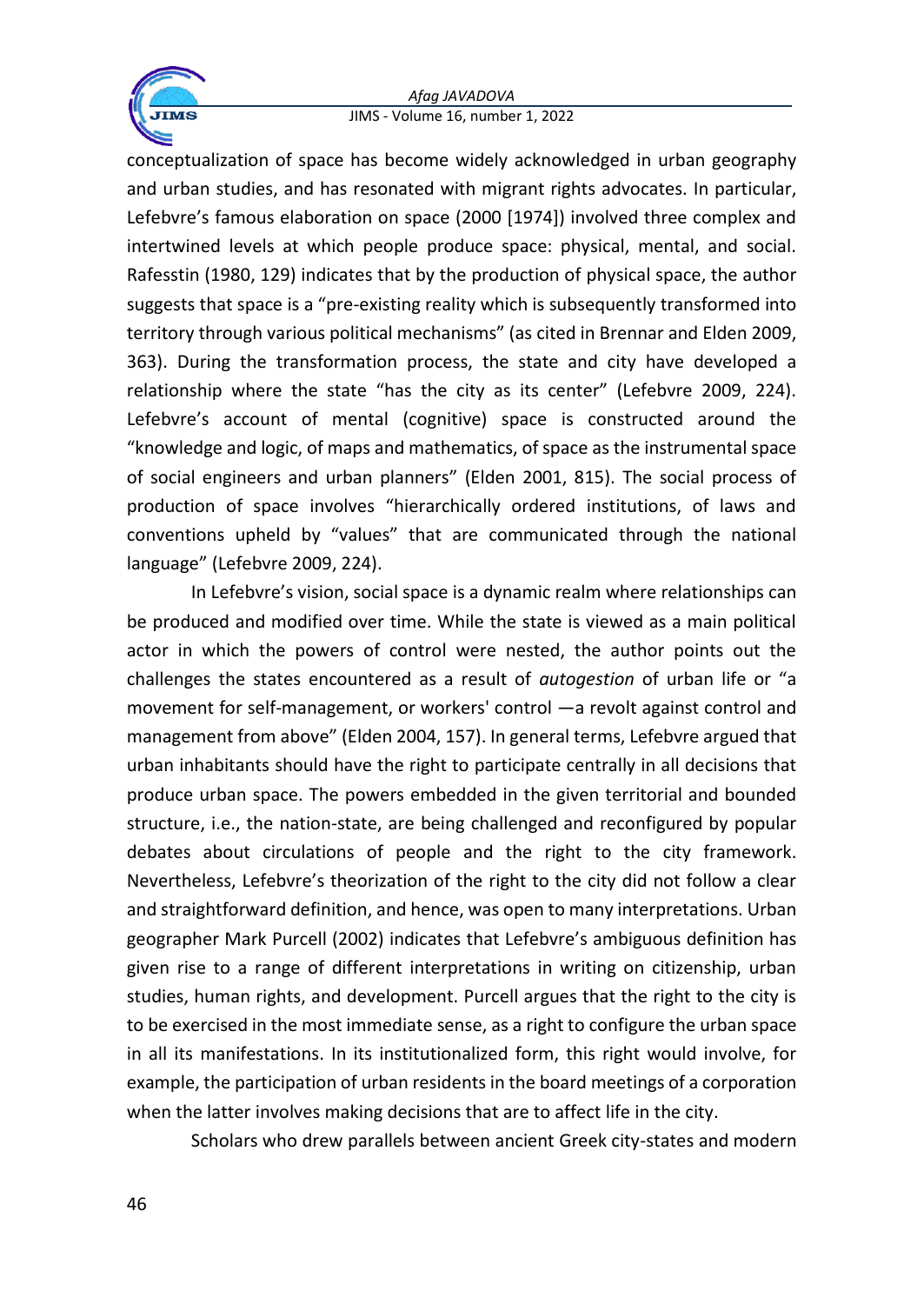

conceptualization of space has become widely acknowledged in urban geography and urban studies, and has resonated with migrant rights advocates. In particular, Lefebvre's famous elaboration on space (2000 [1974]) involved three complex and intertwined levels at which people produce space: physical, mental, and social. Rafesstin (1980, 129) indicates that by the production of physical space, the author suggests that space is a "pre-existing reality which is subsequently transformed into territory through various political mechanisms" (as cited in Brennar and Elden 2009, 363). During the transformation process, the state and city have developed a relationship where the state "has the city as its center" (Lefebvre 2009, 224). Lefebvre's account of mental (cognitive) space is constructed around the "knowledge and logic, of maps and mathematics, of space as the instrumental space of social engineers and urban planners" (Elden 2001, 815). The social process of production of space involves "hierarchically ordered institutions, of laws and conventions upheld by "values" that are communicated through the national language" (Lefebvre 2009, 224).

In Lefebvre's vision, social space is a dynamic realm where relationships can be produced and modified over time. While the state is viewed as a main political actor in which the powers of control were nested, the author points out the challenges the states encountered as a result of *autogestion* of urban life or "a movement for self-management, or workers' control —a revolt against control and management from above" (Elden 2004, 157). In general terms, Lefebvre argued that urban inhabitants should have the right to participate centrally in all decisions that produce urban space. The powers embedded in the given territorial and bounded structure, i.e., the nation-state, are being challenged and reconfigured by popular debates about circulations of people and the right to the city framework. Nevertheless, Lefebvre's theorization of the right to the city did not follow a clear and straightforward definition, and hence, was open to many interpretations. Urban geographer Mark Purcell (2002) indicates that Lefebvre's ambiguous definition has given rise to a range of different interpretations in writing on citizenship, urban studies, human rights, and development. Purcell argues that the right to the city is to be exercised in the most immediate sense, as a right to configure the urban space in all its manifestations. In its institutionalized form, this right would involve, for example, the participation of urban residents in the board meetings of a corporation when the latter involves making decisions that are to affect life in the city.

Scholars who drew parallels between ancient Greek city-states and modern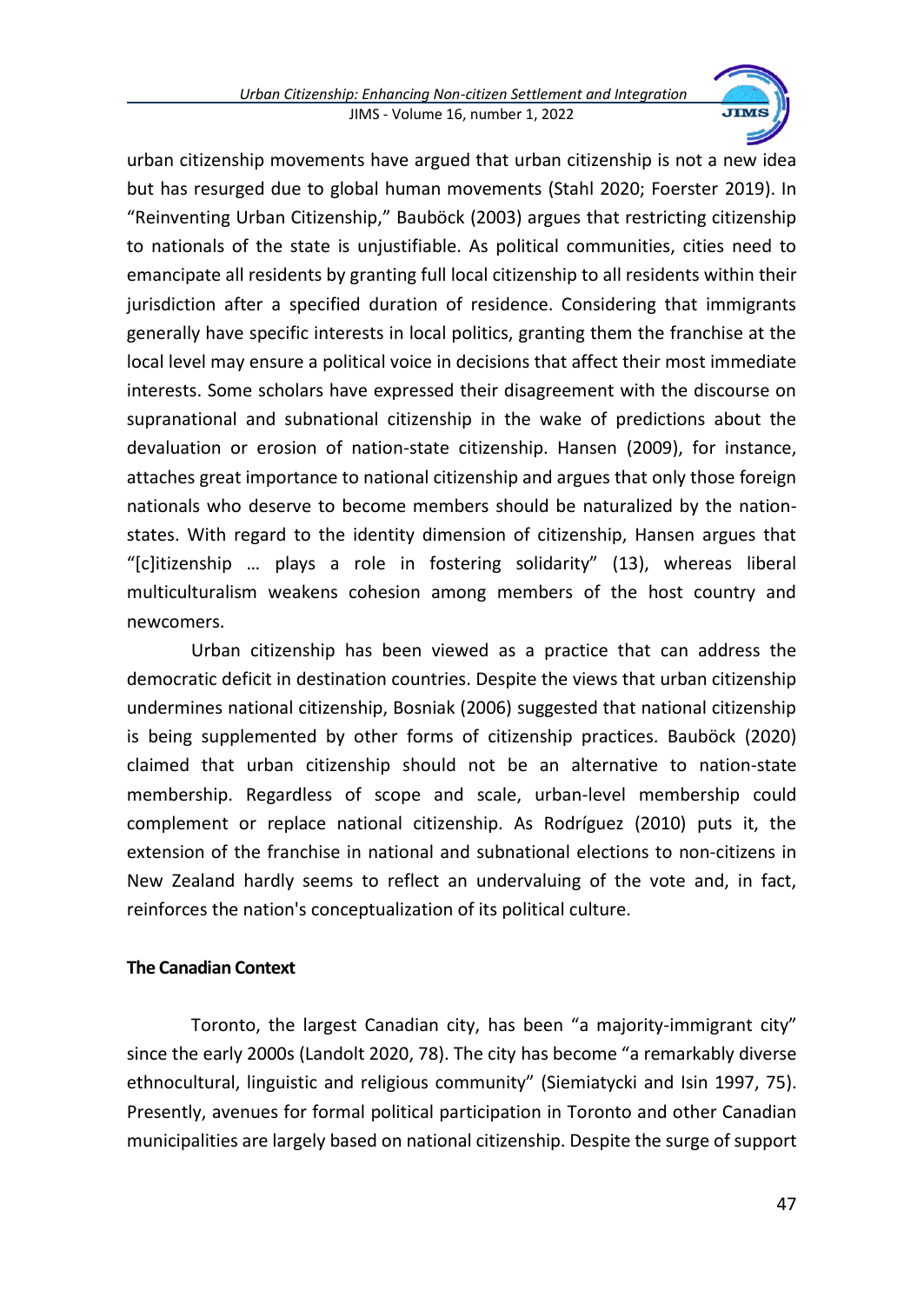

urban citizenship movements have argued that urban citizenship is not a new idea but has resurged due to global human movements (Stahl 2020; Foerster 2019). In "Reinventing Urban Citizenship," Bauböck (2003) argues that restricting citizenship to nationals of the state is unjustifiable. As political communities, cities need to emancipate all residents by granting full local citizenship to all residents within their jurisdiction after a specified duration of residence. Considering that immigrants generally have specific interests in local politics, granting them the franchise at the local level may ensure a political voice in decisions that affect their most immediate interests. Some scholars have expressed their disagreement with the discourse on supranational and subnational citizenship in the wake of predictions about the devaluation or erosion of nation-state citizenship. Hansen (2009), for instance, attaches great importance to national citizenship and argues that only those foreign nationals who deserve to become members should be naturalized by the nationstates. With regard to the identity dimension of citizenship, Hansen argues that "[c]itizenship … plays a role in fostering solidarity" (13), whereas liberal multiculturalism weakens cohesion among members of the host country and newcomers.

Urban citizenship has been viewed as a practice that can address the democratic deficit in destination countries. Despite the views that urban citizenship undermines national citizenship, Bosniak (2006) suggested that national citizenship is being supplemented by other forms of citizenship practices. Bauböck (2020) claimed that urban citizenship should not be an alternative to nation-state membership. Regardless of scope and scale, urban-level membership could complement or replace national citizenship. As Rodríguez (2010) puts it, the extension of the franchise in national and subnational elections to non-citizens in New Zealand hardly seems to reflect an undervaluing of the vote and, in fact, reinforces the nation's conceptualization of its political culture.

## **The Canadian Context**

Toronto, the largest Canadian city, has been "a majority-immigrant city" since the early 2000s (Landolt 2020, 78). The city has become "a remarkably diverse ethnocultural, linguistic and religious community" (Siemiatycki and Isin 1997, 75). Presently, avenues for formal political participation in Toronto and other Canadian municipalities are largely based on national citizenship. Despite the surge of support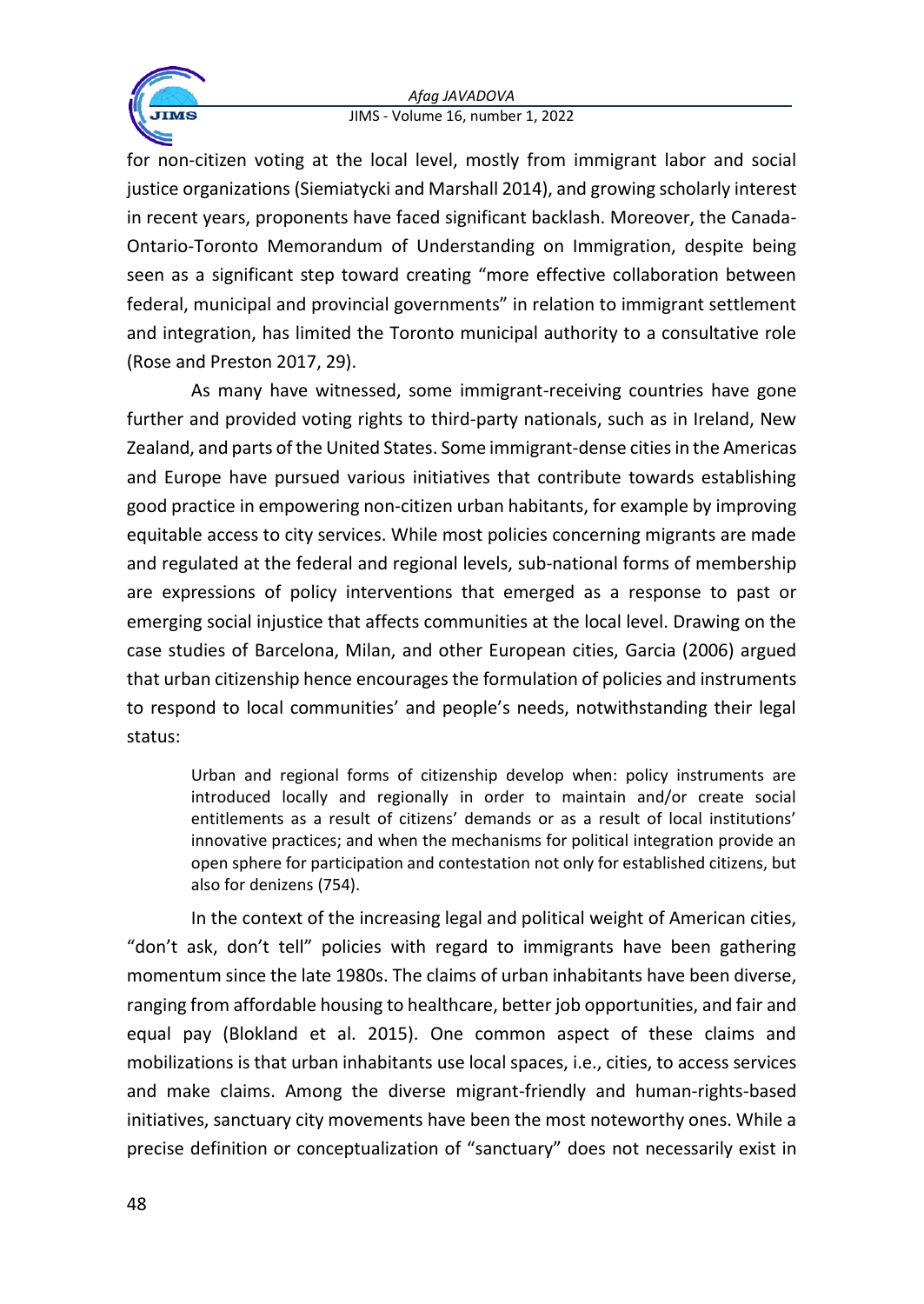

for non-citizen voting at the local level, mostly from immigrant labor and social justice organizations (Siemiatycki and Marshall 2014), and growing scholarly interest in recent years, proponents have faced significant backlash. Moreover, the Canada-Ontario-Toronto Memorandum of Understanding on Immigration, despite being seen as a significant step toward creating "more effective collaboration between federal, municipal and provincial governments" in relation to immigrant settlement and integration, has limited the Toronto municipal authority to a consultative role (Rose and Preston 2017, 29).

As many have witnessed, some immigrant-receiving countries have gone further and provided voting rights to third-party nationals, such as in Ireland, New Zealand, and parts of the United States. Some immigrant-dense cities in the Americas and Europe have pursued various initiatives that contribute towards establishing good practice in empowering non-citizen urban habitants, for example by improving equitable access to city services. While most policies concerning migrants are made and regulated at the federal and regional levels, sub-national forms of membership are expressions of policy interventions that emerged as a response to past or emerging social injustice that affects communities at the local level. Drawing on the case studies of Barcelona, Milan, and other European cities, Garcia (2006) argued that urban citizenship hence encourages the formulation of policies and instruments to respond to local communities' and people's needs, notwithstanding their legal status:

Urban and regional forms of citizenship develop when: policy instruments are introduced locally and regionally in order to maintain and/or create social entitlements as a result of citizens' demands or as a result of local institutions' innovative practices; and when the mechanisms for political integration provide an open sphere for participation and contestation not only for established citizens, but also for denizens (754).

In the context of the increasing legal and political weight of American cities, "don't ask, don't tell" policies with regard to immigrants have been gathering momentum since the late 1980s. The claims of urban inhabitants have been diverse, ranging from affordable housing to healthcare, better job opportunities, and fair and equal pay (Blokland et al. 2015). One common aspect of these claims and mobilizations is that urban inhabitants use local spaces, i.e., cities, to access services and make claims. Among the diverse migrant-friendly and human-rights-based initiatives, sanctuary city movements have been the most noteworthy ones. While a precise definition or conceptualization of "sanctuary" does not necessarily exist in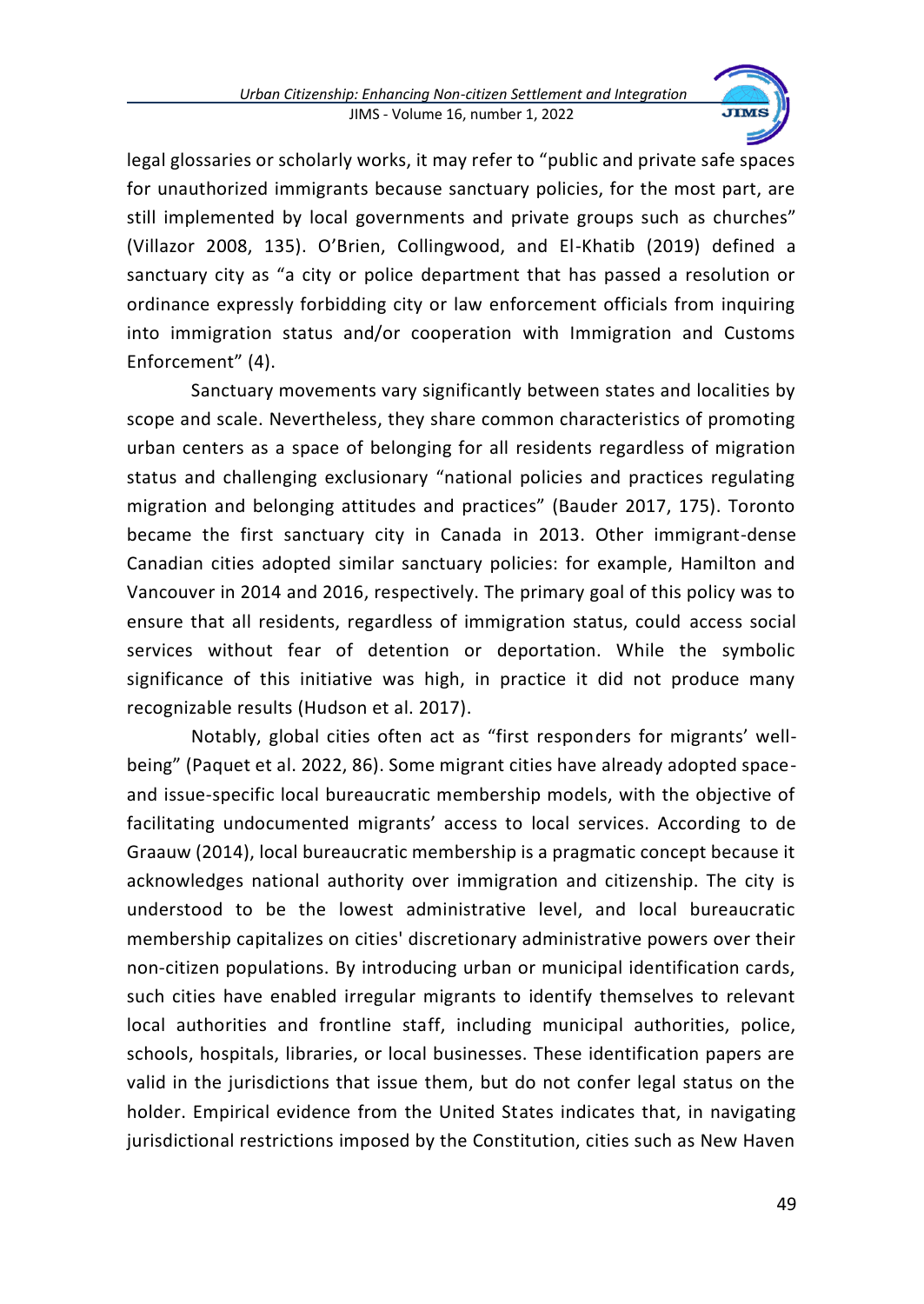

legal glossaries or scholarly works, it may refer to "public and private safe spaces for unauthorized immigrants because sanctuary policies, for the most part, are still implemented by local governments and private groups such as churches" (Villazor 2008, 135). O'Brien, Collingwood, and El-Khatib (2019) defined a sanctuary city as "a city or police department that has passed a resolution or ordinance expressly forbidding city or law enforcement officials from inquiring into immigration status and/or cooperation with Immigration and Customs Enforcement" (4).

Sanctuary movements vary significantly between states and localities by scope and scale. Nevertheless, they share common characteristics of promoting urban centers as a space of belonging for all residents regardless of migration status and challenging exclusionary "national policies and practices regulating migration and belonging attitudes and practices" (Bauder 2017, 175). Toronto became the first sanctuary city in Canada in 2013. Other immigrant-dense Canadian cities adopted similar sanctuary policies: for example, Hamilton and Vancouver in 2014 and 2016, respectively. The primary goal of this policy was to ensure that all residents, regardless of immigration status, could access social services without fear of detention or deportation. While the symbolic significance of this initiative was high, in practice it did not produce many recognizable results (Hudson et al. 2017).

Notably, global cities often act as "first responders for migrants' wellbeing" (Paquet et al. 2022, 86). Some migrant cities have already adopted spaceand issue-specific local bureaucratic membership models, with the objective of facilitating undocumented migrants' access to local services. According to de Graauw (2014), local bureaucratic membership is a pragmatic concept because it acknowledges national authority over immigration and citizenship. The city is understood to be the lowest administrative level, and local bureaucratic membership capitalizes on cities' discretionary administrative powers over their non-citizen populations. By introducing urban or municipal identification cards, such cities have enabled irregular migrants to identify themselves to relevant local authorities and frontline staff, including municipal authorities, police, schools, hospitals, libraries, or local businesses. These identification papers are valid in the jurisdictions that issue them, but do not confer legal status on the holder. Empirical evidence from the United States indicates that, in navigating jurisdictional restrictions imposed by the Constitution, cities such as New Haven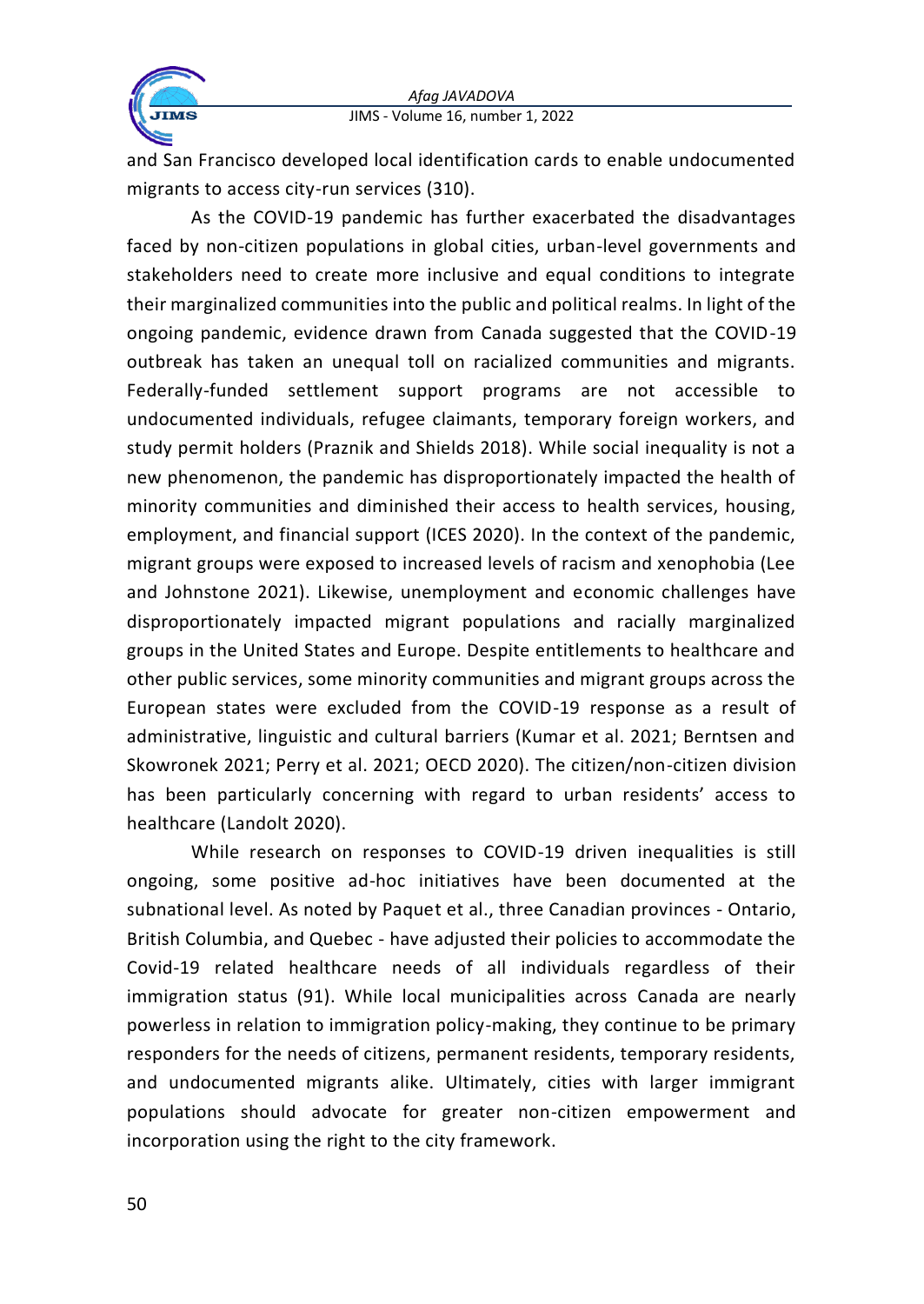

and San Francisco developed local identification cards to enable undocumented migrants to access city-run services (310).

As the COVID-19 pandemic has further exacerbated the disadvantages faced by non-citizen populations in global cities, urban-level governments and stakeholders need to create more inclusive and equal conditions to integrate their marginalized communities into the public and political realms. In light of the ongoing pandemic, evidence drawn from Canada suggested that the COVID-19 outbreak has taken an unequal toll on racialized communities and migrants. Federally-funded settlement support programs are not accessible to undocumented individuals, refugee claimants, temporary foreign workers, and study permit holders (Praznik and Shields 2018). While social inequality is not a new phenomenon, the pandemic has disproportionately impacted the health of minority communities and diminished their access to health services, housing, employment, and financial support (ICES 2020). In the context of the pandemic, migrant groups were exposed to increased levels of racism and xenophobia (Lee and Johnstone 2021). Likewise, unemployment and economic challenges have disproportionately impacted migrant populations and racially marginalized groups in the United States and Europe. Despite entitlements to healthcare and other public services, some minority communities and migrant groups across the European states were excluded from the COVID-19 response as a result of administrative, linguistic and cultural barriers (Kumar et al. 2021; Berntsen and Skowronek 2021; Perry et al. 2021; OECD 2020). The citizen/non-citizen division has been particularly concerning with regard to urban residents' access to healthcare (Landolt 2020).

While research on responses to COVID-19 driven inequalities is still ongoing, some positive ad-hoc initiatives have been documented at the subnational level. As noted by Paquet et al., three Canadian provinces - Ontario, British Columbia, and Quebec - have adjusted their policies to accommodate the Covid-19 related healthcare needs of all individuals regardless of their immigration status (91). While local municipalities across Canada are nearly powerless in relation to immigration policy-making, they continue to be primary responders for the needs of citizens, permanent residents, temporary residents, and undocumented migrants alike. Ultimately, cities with larger immigrant populations should advocate for greater non-citizen empowerment and incorporation using the right to the city framework.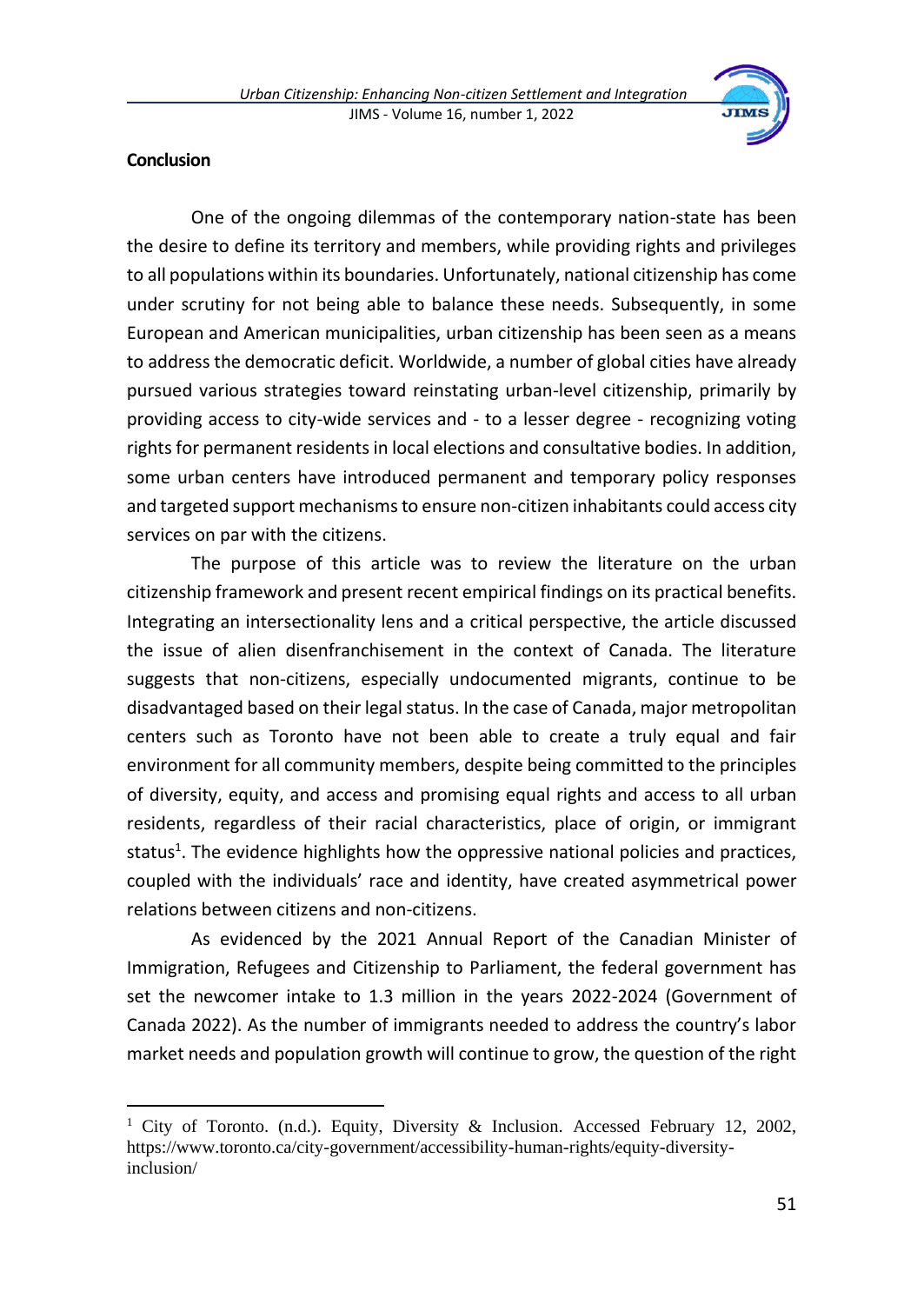

### **Conclusion**

One of the ongoing dilemmas of the contemporary nation-state has been the desire to define its territory and members, while providing rights and privileges to all populations within its boundaries. Unfortunately, national citizenship has come under scrutiny for not being able to balance these needs. Subsequently, in some European and American municipalities, urban citizenship has been seen as a means to address the democratic deficit. Worldwide, a number of global cities have already pursued various strategies toward reinstating urban-level citizenship, primarily by providing access to city-wide services and - to a lesser degree - recognizing voting rights for permanent residents in local elections and consultative bodies. In addition, some urban centers have introduced permanent and temporary policy responses and targeted support mechanisms to ensure non-citizen inhabitants could access city services on par with the citizens.

The purpose of this article was to review the literature on the urban citizenship framework and present recent empirical findings on its practical benefits. Integrating an intersectionality lens and a critical perspective, the article discussed the issue of alien disenfranchisement in the context of Canada. The literature suggests that non-citizens, especially undocumented migrants, continue to be disadvantaged based on their legal status. In the case of Canada, major metropolitan centers such as Toronto have not been able to create a truly equal and fair environment for all community members, despite being committed to the principles of diversity, equity, and access and promising equal rights and access to all urban residents, regardless of their racial characteristics, place of origin, or immigrant status<sup>1</sup>. The evidence highlights how the oppressive national policies and practices, coupled with the individuals' race and identity, have created asymmetrical power relations between citizens and non-citizens.

As evidenced by the 2021 Annual Report of the Canadian Minister of Immigration, Refugees and Citizenship to Parliament, the federal government has set the newcomer intake to 1.3 million in the years 2022-2024 (Government of Canada 2022). As the number of immigrants needed to address the country's labor market needs and population growth will continue to grow, the question of the right

<sup>&</sup>lt;sup>1</sup> City of Toronto. (n.d.). Equity, Diversity & Inclusion. Accessed February 12, 2002, https://www.toronto.ca/city-government/accessibility-human-rights/equity-diversityinclusion/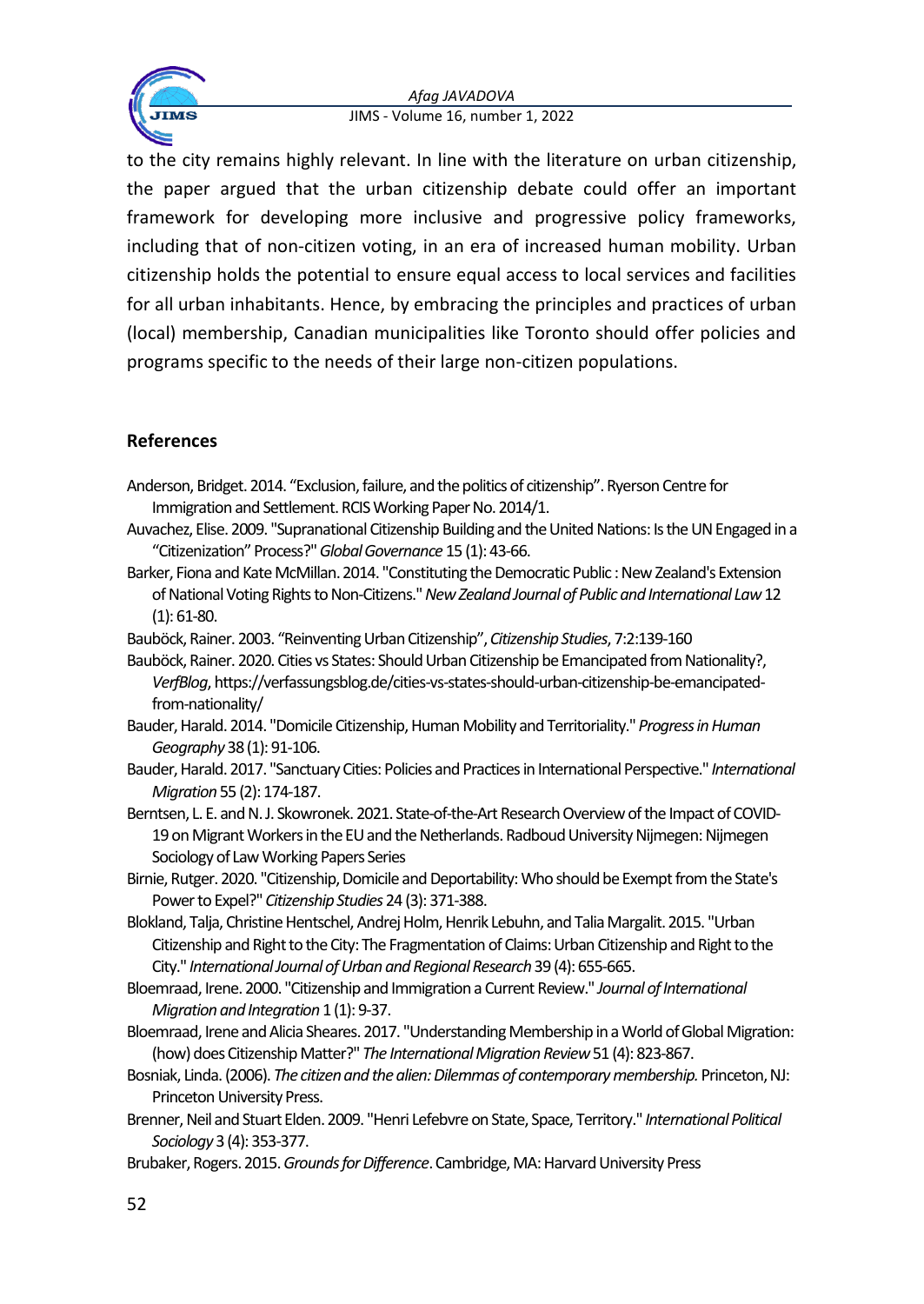

to the city remains highly relevant. In line with the literature on urban citizenship, the paper argued that the urban citizenship debate could offer an important framework for developing more inclusive and progressive policy frameworks, including that of non-citizen voting, in an era of increased human mobility. Urban citizenship holds the potential to ensure equal access to local services and facilities for all urban inhabitants. Hence, by embracing the principles and practices of urban (local) membership, Canadian municipalities like Toronto should offer policies and programs specific to the needs of their large non-citizen populations.

## **References**

- Anderson, Bridget. 2014. "Exclusion, failure, and the politics of citizenship". Ryerson Centre for Immigration and Settlement. RCIS Working Paper No. 2014/1.
- Auvachez, Elise. 2009. "Supranational Citizenship Building and the United Nations: Is the UN Engaged in a "Citizenization" Process?" *Global Governance* 15 (1): 43-66.
- Barker, Fiona and Kate McMillan. 2014. "Constituting the Democratic Public : New Zealand's Extension of National Voting Rights to Non-Citizens." *New Zealand Journal of Public and International Law*12 (1): 61-80.
- Bauböck, Rainer. 2003. "Reinventing Urban Citizenship", *Citizenship Studies*, 7:2:139-160
- Bauböck, Rainer. 2020. Cities vs States: Should Urban Citizenship be Emancipated from Nationality?, *VerfBlog*, https://verfassungsblog.de/cities-vs-states-should-urban-citizenship-be-emancipatedfrom-nationality/
- Bauder, Harald. 2014. "Domicile Citizenship, Human Mobility and Territoriality." *Progress in Human Geography* 38 (1): 91-106.
- Bauder, Harald. 2017. "Sanctuary Cities: Policies and Practices in International Perspective." *International Migration*55 (2): 174-187.
- Berntsen, L. E. and N. J. Skowronek. 2021. State-of-the-Art Research Overview of the Impact of COVID-19 on Migrant Workers in the EU and the Netherlands. Radboud University Nijmegen: Nijmegen Sociology of Law Working Papers Series
- Birnie, Rutger. 2020. "Citizenship, Domicile and Deportability: Who should be Exempt from the State's Power to Expel?" *Citizenship Studies* 24 (3): 371-388.
- Blokland, Talja, Christine Hentschel, Andrej Holm, Henrik Lebuhn, and Talia Margalit. 2015. "Urban Citizenship and Right to the City: The Fragmentation of Claims: Urban Citizenship and Right to the City." *International Journal of Urban and Regional Research*39 (4): 655-665.
- Bloemraad, Irene. 2000. "Citizenship and Immigration a Current Review." *Journal of International Migration and Integration* 1 (1): 9-37.
- Bloemraad, Irene and Alicia Sheares. 2017. "Understanding Membership in a World of Global Migration: (how) does Citizenship Matter?" *The International Migration Review*51 (4): 823-867.
- Bosniak, Linda. (2006). *The citizen and the alien: Dilemmas of contemporary membership.*Princeton, NJ: Princeton University Press.
- Brenner, Neil and Stuart Elden. 2009. "Henri Lefebvre on State, Space, Territory." *International Political Sociology* 3 (4): 353-377.
- Brubaker, Rogers. 2015. *Grounds for Difference*. Cambridge, MA: Harvard University Press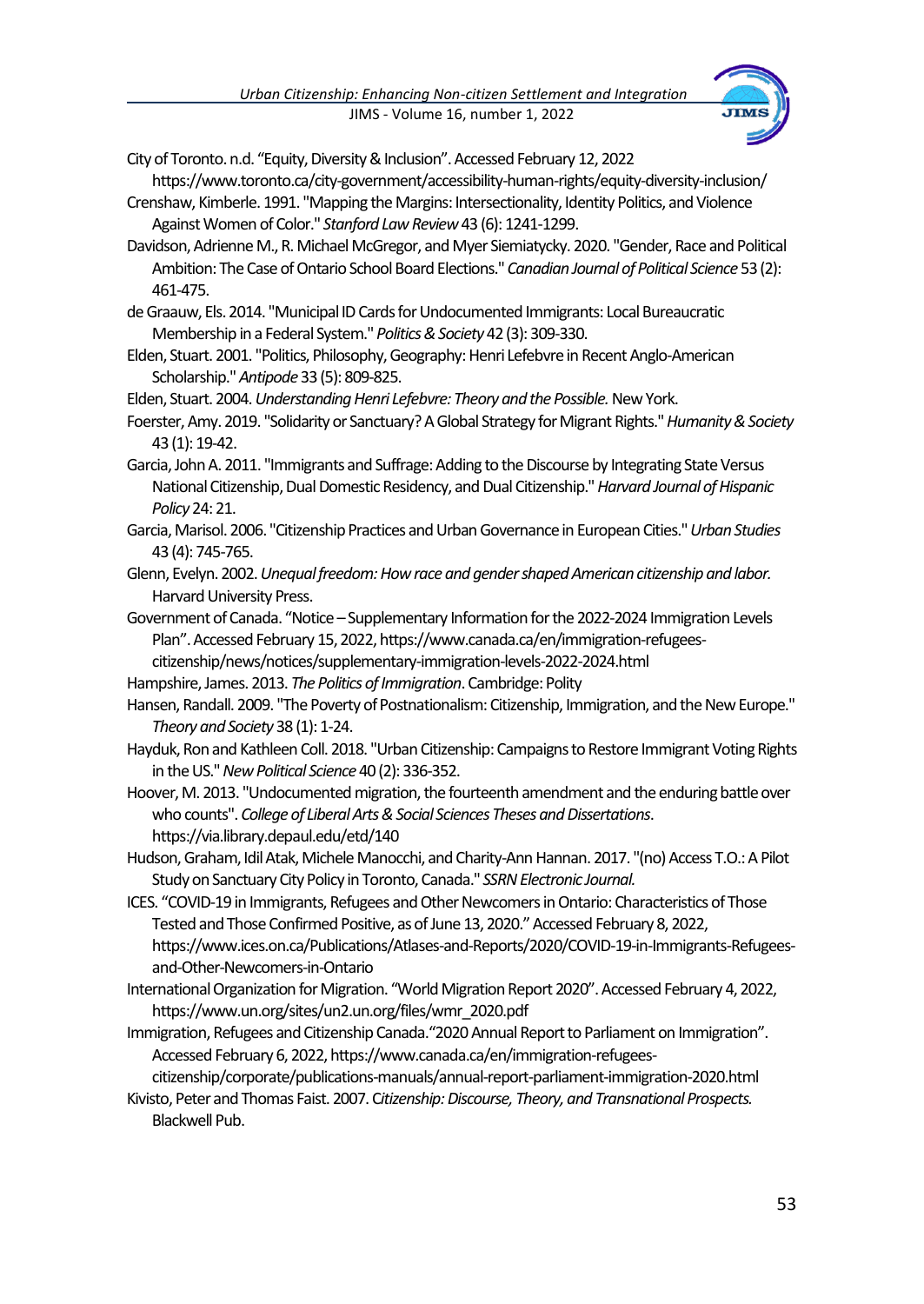

City of Toronto. n.d. "Equity, Diversity & Inclusion". Accessed February 12, 2022

- https://www.toronto.ca/city-government/accessibility-human-rights/equity-diversity-inclusion/ Crenshaw, Kimberle. 1991. "Mapping the Margins: Intersectionality, Identity Politics, and Violence Against Women of Color." *Stanford Law Review*43 (6): 1241-1299.
- Davidson, Adrienne M., R. Michael McGregor, and Myer Siemiatycky. 2020. "Gender, Race and Political Ambition: The Case of Ontario School Board Elections." *Canadian Journal of Political Science* 53 (2): 461-475.
- de Graauw, Els. 2014. "Municipal ID Cards for Undocumented Immigrants: Local Bureaucratic Membership in a Federal System." *Politics & Society* 42 (3): 309-330.
- Elden, Stuart. 2001. "Politics, Philosophy, Geography: Henri Lefebvre in Recent Anglo-American Scholarship."*Antipode* 33 (5): 809-825.

Elden, Stuart. 2004. *Understanding Henri Lefebvre: Theory and the Possible.* New York.

- Foerster, Amy. 2019. "Solidarity or Sanctuary? A Global Strategy for Migrant Rights." *Humanity & Society* 43 (1): 19-42.
- Garcia, John A. 2011. "Immigrants and Suffrage: Adding to the Discourse by Integrating State Versus National Citizenship, Dual Domestic Residency, and Dual Citizenship." *Harvard Journal of Hispanic Policy* 24: 21.
- Garcia, Marisol. 2006. "Citizenship Practices and Urban Governance in European Cities." *Urban Studies*  43 (4): 745-765.
- Glenn, Evelyn. 2002. *Unequal freedom: How race and gender shaped American citizenship and labor.*  Harvard University Press.
- Government of Canada. "Notice –Supplementary Information for the 2022-2024 Immigration Levels Plan". Accessed February 15, 2022, https://www.canada.ca/en/immigration-refugeescitizenship/news/notices/supplementary-immigration-levels-2022-2024.html
- Hampshire, James. 2013. *The Politics of Immigration*. Cambridge: Polity
- Hansen, Randall. 2009. "The Poverty of Postnationalism: Citizenship, Immigration, and the New Europe." *Theory and Society* 38 (1): 1-24.
- Hayduk, Ron and Kathleen Coll. 2018. "Urban Citizenship: Campaigns to Restore Immigrant Voting Rights in the US." *New Political Science* 40 (2): 336-352.
- Hoover, M. 2013. "Undocumented migration, the fourteenth amendment and the enduring battle over who counts". *College of Liberal Arts & Social Sciences Theses and Dissertations*. https://via.library.depaul.edu/etd/140
- Hudson, Graham, Idil Atak, Michele Manocchi, and Charity-Ann Hannan. 2017. "(no) Access T.O.: APilot Study on Sanctuary City Policy in Toronto, Canada." *SSRN Electronic Journal.*
- ICES. "COVID-19 in Immigrants, Refugees and Other Newcomers in Ontario: Characteristics of Those Tested and Those Confirmed Positive, as of June 13, 2020." Accessed February 8, 2022, https://www.ices.on.ca/Publications/Atlases-and-Reports/2020/COVID-19-in-Immigrants-Refugeesand-Other-Newcomers-in-Ontario
- International Organization for Migration. "World Migration Report 2020". Accessed February 4, 2022, https://www.un.org/sites/un2.un.org/files/wmr\_2020.pdf
- Immigration, Refugees and Citizenship Canada."2020 Annual Report to Parliament on Immigration". Accessed February 6, 2022, https://www.canada.ca/en/immigration-refugees-
- citizenship/corporate/publications-manuals/annual-report-parliament-immigration-2020.html Kivisto, Peter and Thomas Faist. 2007. C*itizenship: Discourse, Theory, and Transnational Prospects.* Blackwell Pub.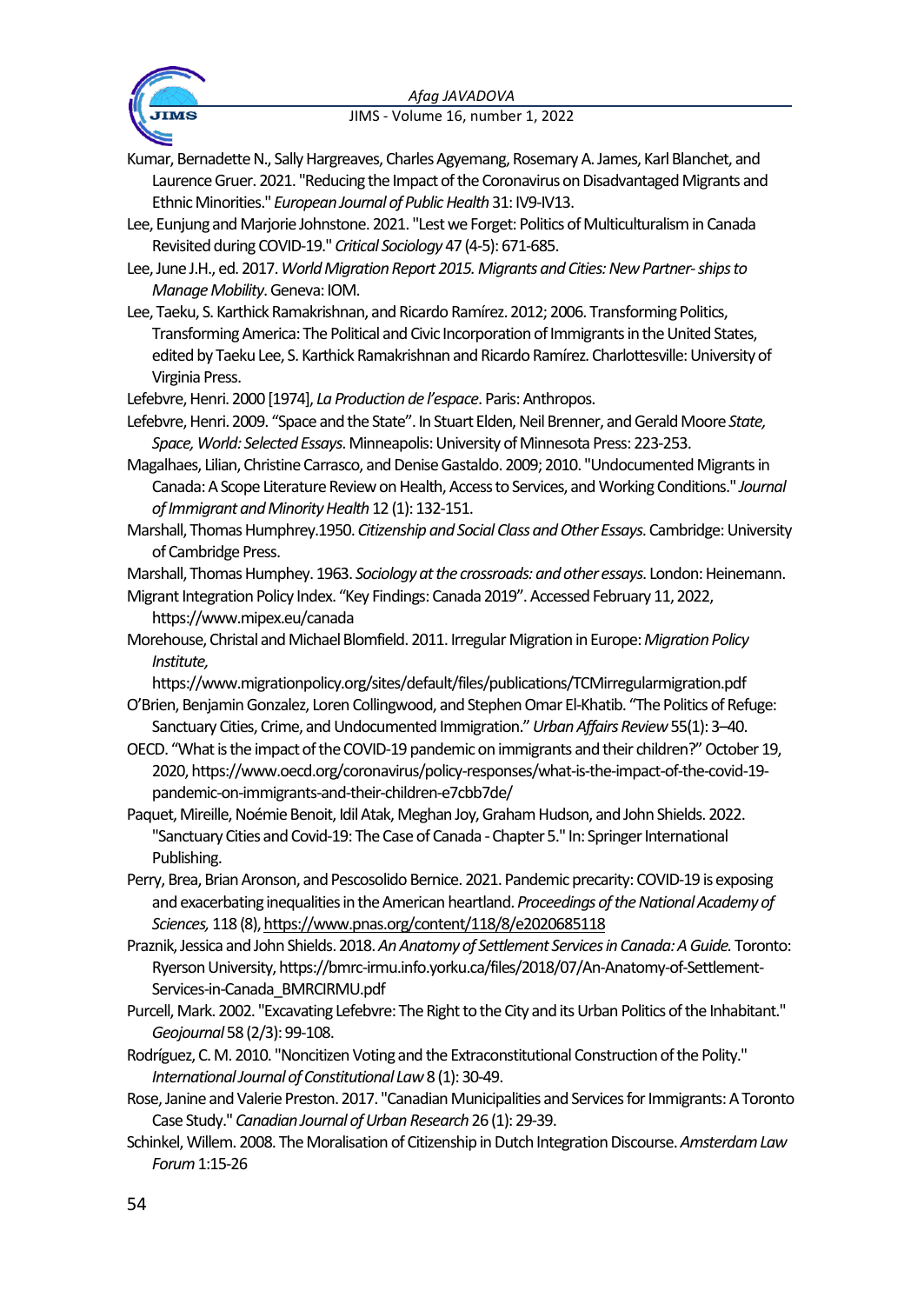

Kumar, Bernadette N., Sally Hargreaves, Charles Agyemang, Rosemary A. James, Karl Blanchet, and Laurence Gruer. 2021. "Reducing the Impact of the Coronavirus on Disadvantaged Migrants and Ethnic Minorities." *European Journal of Public Health* 31: IV9-IV13.

- Lee, Eunjung and Marjorie Johnstone. 2021. "Lest we Forget: Politics of Multiculturalism in Canada Revisited during COVID-19." *Critical Sociology* 47 (4-5): 671-685.
- Lee, June J.H., ed. 2017. *World Migration Report 2015. Migrants and Cities: New Partner-ships to Manage Mobility*. Geneva: IOM.
- Lee, Taeku, S. Karthick Ramakrishnan, and Ricardo Ramírez.2012; 2006. Transforming Politics, Transforming America: The Political and Civic Incorporation of Immigrants in the United States, edited by Taeku Lee, S. Karthick Ramakrishnan and Ricardo Ramírez. Charlottesville: University of Virginia Press.

Lefebvre, Henri. 2000 [1974], *La Production de l'espace*. Paris: Anthropos.

- Lefebvre, Henri. 2009. "Space and the State". In Stuart Elden, Neil Brenner, and Gerald Moore *State, Space, World: Selected Essays*. Minneapolis: University of Minnesota Press: 223-253.
- Magalhaes, Lilian, Christine Carrasco, and Denise Gastaldo. 2009; 2010. "Undocumented Migrants in Canada: A Scope Literature Review on Health, Access to Services, and Working Conditions." *Journal of Immigrant and Minority Health*12 (1): 132-151.
- Marshall, Thomas Humphrey.1950. *Citizenship and Social Class and Other Essays*. Cambridge: University of Cambridge Press.

Marshall, Thomas Humphey. 1963. *Sociology at the crossroads: and other essays*. London: Heinemann.

- Migrant Integration Policy Index. "Key Findings: Canada 2019". Accessed February 11, 2022, https://www.mipex.eu/canada
- Morehouse, Christal and Michael Blomfield. 2011. Irregular Migration in Europe: *Migration Policy Institute,*

https://www.migrationpolicy.org/sites/default/files/publications/TCMirregularmigration.pdf O'Brien, Benjamin Gonzalez, Loren Collingwood, and Stephen Omar El-Khatib. "The Politics of Refuge:

Sanctuary Cities, Crime, and Undocumented Immigration."*Urban Affairs Review* 55(1): 3–40.

- OECD. "What is the impact of the COVID-19 pandemic on immigrants and their children?" October 19, 2020, https://www.oecd.org/coronavirus/policy-responses/what-is-the-impact-of-the-covid-19 pandemic-on-immigrants-and-their-children-e7cbb7de/
- Paquet, Mireille, Noémie Benoit, Idil Atak, Meghan Joy, Graham Hudson, and John Shields. 2022. "Sanctuary Cities and Covid-19: The Case of Canada -Chapter 5." In: Springer International Publishing.
- Perry, Brea, Brian Aronson, and Pescosolido Bernice. 2021. Pandemic precarity: COVID-19 is exposing and exacerbating inequalities in the American heartland. *Proceedings of the National Academy of Sciences,* 118 (8)[, https://www.pnas.org/content/118/8/e2020685118](https://www.pnas.org/content/118/8/e2020685118)
- Praznik, Jessica and John Shields. 2018. *An Anatomy of Settlement Services in Canada: A Guide.* Toronto: Ryerson University, https://bmrc-irmu.info.yorku.ca/files/2018/07/An-Anatomy-of-Settlement-Services-in-Canada\_BMRCIRMU.pdf
- Purcell, Mark. 2002. "Excavating Lefebvre: The Right to the City and its Urban Politics of the Inhabitant." *Geojournal* 58 (2/3): 99-108.
- Rodríguez, C. M. 2010. "Noncitizen Voting and the Extraconstitutional Construction of the Polity." *International Journal of Constitutional Law*8 (1): 30-49.
- Rose, Janine and Valerie Preston. 2017. "Canadian Municipalities and Services for Immigrants: A Toronto Case Study." *Canadian Journal of Urban Research* 26 (1): 29-39.
- Schinkel, Willem. 2008. The Moralisation of Citizenship in Dutch Integration Discourse. *Amsterdam Law Forum*1:15-26